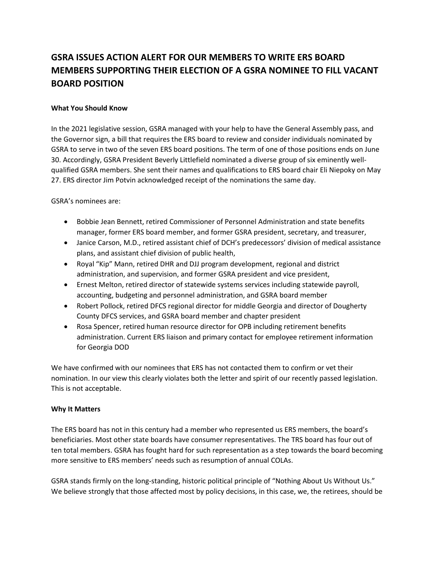## **GSRA ISSUES ACTION ALERT FOR OUR MEMBERS TO WRITE ERS BOARD MEMBERS SUPPORTING THEIR ELECTION OF A GSRA NOMINEE TO FILL VACANT BOARD POSITION**

## **What You Should Know**

In the 2021 legislative session, GSRA managed with your help to have the General Assembly pass, and the Governor sign, a bill that requires the ERS board to review and consider individuals nominated by GSRA to serve in two of the seven ERS board positions. The term of one of those positions ends on June 30. Accordingly, GSRA President Beverly Littlefield nominated a diverse group of six eminently wellqualified GSRA members. She sent their names and qualifications to ERS board chair Eli Niepoky on May 27. ERS director Jim Potvin acknowledged receipt of the nominations the same day.

GSRA's nominees are:

- Bobbie Jean Bennett, retired Commissioner of Personnel Administration and state benefits manager, former ERS board member, and former GSRA president, secretary, and treasurer,
- Janice Carson, M.D., retired assistant chief of DCH's predecessors' division of medical assistance plans, and assistant chief division of public health,
- Royal "Kip" Mann, retired DHR and DJJ program development, regional and district administration, and supervision, and former GSRA president and vice president,
- Ernest Melton, retired director of statewide systems services including statewide payroll, accounting, budgeting and personnel administration, and GSRA board member
- Robert Pollock, retired DFCS regional director for middle Georgia and director of Dougherty County DFCS services, and GSRA board member and chapter president
- Rosa Spencer, retired human resource director for OPB including retirement benefits administration. Current ERS liaison and primary contact for employee retirement information for Georgia DOD

We have confirmed with our nominees that ERS has not contacted them to confirm or vet their nomination. In our view this clearly violates both the letter and spirit of our recently passed legislation. This is not acceptable.

## **Why It Matters**

The ERS board has not in this century had a member who represented us ERS members, the board's beneficiaries. Most other state boards have consumer representatives. The TRS board has four out of ten total members. GSRA has fought hard for such representation as a step towards the board becoming more sensitive to ERS members' needs such as resumption of annual COLAs.

GSRA stands firmly on the long-standing, historic political principle of "Nothing About Us Without Us." We believe strongly that those affected most by policy decisions, in this case, we, the retirees, should be